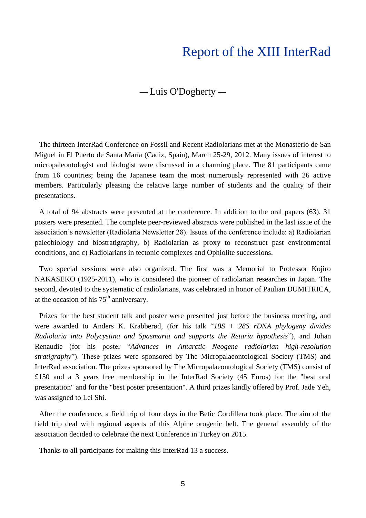## Report of the XIII InterRad

## — Luis O'Dogherty —

The thirteen InterRad Conference on Fossil and Recent Radiolarians met at the Monasterio de San Miguel in El Puerto de Santa María (Cadiz, Spain), March 25-29, 2012. Many issues of interest to micropaleontologist and biologist were discussed in a charming place. The 81 participants came from 16 countries; being the Japanese team the most numerously represented with 26 active members. Particularly pleasing the relative large number of students and the quality of their presentations.

A total of 94 abstracts were presented at the conference. In addition to the oral papers (63), 31 posters were presented. The complete peer-reviewed abstracts were published in the last issue of the association"s newsletter (Radiolaria Newsletter 28). Issues of the conference include: a) Radiolarian paleobiology and biostratigraphy, b) Radiolarian as proxy to reconstruct past environmental conditions, and c) Radiolarians in tectonic complexes and Ophiolite successions.

Two special sessions were also organized. The first was a Memorial to Professor Kojiro NAKASEKO (1925-2011), who is considered the pioneer of radiolarian researches in Japan. The second, devoted to the systematic of radiolarians, was celebrated in honor of Paulian DUMITRICA, at the occasion of his  $75<sup>th</sup>$  anniversary.

Prizes for the best student talk and poster were presented just before the business meeting, and were awarded to Anders K. Krabberød, (for his talk "*18S + 28S rDNA phylogeny divides Radiolaria into Polycystina and Spasmaria and supports the Retaria hypothesis*"), and Johan Renaudie (for his poster "*Advances in Antarctic Neogene radiolarian high-resolution stratigraphy*"). These prizes were sponsored by The Micropalaeontological Society (TMS) and InterRad association. The prizes sponsored by The Micropalaeontological Society (TMS) consist of £150 and a 3 years free membership in the InterRad Society (45 Euros) for the "best oral presentation" and for the "best poster presentation". A third prizes kindly offered by Prof. Jade Yeh, was assigned to Lei Shi.

After the conference, a field trip of four days in the Betic Cordillera took place. The aim of the field trip deal with regional aspects of this Alpine orogenic belt. The general assembly of the association decided to celebrate the next Conference in Turkey on 2015.

Thanks to all participants for making this InterRad 13 a success.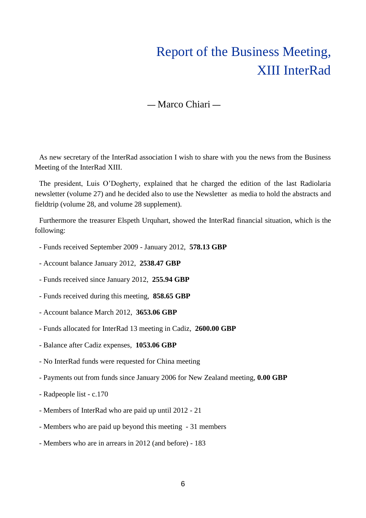## Report of the Business Meeting, XIII InterRad

## — Marco Chiari —

As new secretary of the InterRad association I wish to share with you the news from the Business Meeting of the InterRad XIII.

The president, Luis O"Dogherty, explained that he charged the edition of the last Radiolaria newsletter (volume 27) and he decided also to use the Newsletter as media to hold the abstracts and fieldtrip (volume 28, and volume 28 supplement).

Furthermore the treasurer Elspeth Urquhart, showed the InterRad financial situation, which is the following:

- Funds received September 2009 January 2012, **578.13 GBP**
- Account balance January 2012, **2538.47 GBP**
- Funds received since January 2012, **255.94 GBP**
- Funds received during this meeting, **858.65 GBP**
- Account balance March 2012, **3653.06 GBP**
- Funds allocated for InterRad 13 meeting in Cadiz, **2600.00 GBP**
- Balance after Cadiz expenses, **1053.06 GBP**
- No InterRad funds were requested for China meeting
- Payments out from funds since January 2006 for New Zealand meeting, **0.00 GBP**
- Radpeople list c.170
- Members of InterRad who are paid up until 2012 21
- Members who are paid up beyond this meeting 31 members
- Members who are in arrears in 2012 (and before) 183